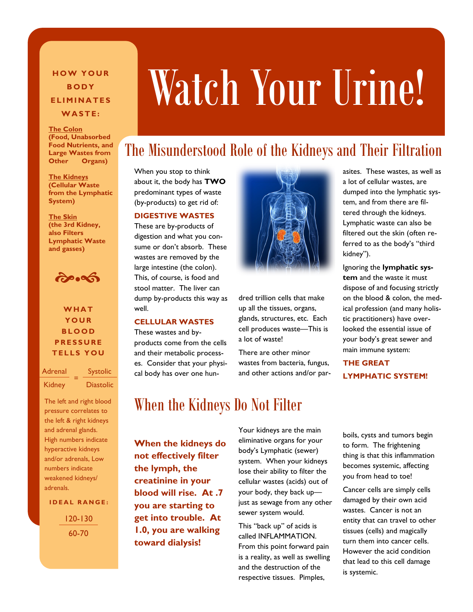**B O D Y E L I M I N A T E S W A S T E :**

**The Colon (Food, Unabsorbed Food Nutrients, and Large Wastes from Other Organs)**

**The Kidneys (Cellular Waste from the Lymphatic System)**

**The Skin (the 3rd Kidney, also Filters Lymphatic Waste and gasses)**

 $\partial$ 

**W H A T Y O U R B L O O D P R E S S U R E T E L L S Y O U**

=

Adrenal Systolic

Kidney Diastolic

adrenals.

The left and right blood pressure correlates to the left & right kidneys and adrenal glands. High numbers indicate hyperactive kidneys and/or adrenals, Low numbers indicate weakened kidneys/

**IDEAL RANGE:** 

120-130 60-70

# **HOW YOUR Watch Your Urine!**

## The Misunderstood Role of the Kidneys and Their Filtration

When you stop to think about it, the body has **TWO** predominant types of waste (by-products) to get rid of:

### **DIGESTIVE WASTES**

These are by-products of digestion and what you consume or don't absorb. These wastes are removed by the large intestine (the colon). This, of course, is food and stool matter. The liver can dump by-products this way as well.

#### **CELLULAR WASTES**

These wastes and byproducts come from the cells and their metabolic process-

es. Consider that your physical body has over one hun-



dred trillion cells that make up all the tissues, organs, glands, structures, etc. Each cell produces waste—This is a lot of waste!

There are other minor wastes from bacteria, fungus, and other actions and/or par-

asites. These wastes, as well as a lot of cellular wastes, are dumped into the lymphatic system, and from there are filtered through the kidneys. Lymphatic waste can also be filtered out the skin (often referred to as the body's "third kidney").

Ignoring the **lymphatic system** and the waste it must dispose of and focusing strictly on the blood & colon, the medical profession (and many holistic practitioners) have overlooked the essential issue of your body's great sewer and main immune system:

**THE GREAT LYMPHATIC SYSTEM!**

## When the Kidneys Do Not Filter

**When the kidneys do not effectively filter the lymph, the creatinine in your blood will rise. At .7 you are starting to get into trouble. At 1.0, you are walking toward dialysis!**

Your kidneys are the main eliminative organs for your body's Lymphatic (sewer) system. When your kidneys lose their ability to filter the cellular wastes (acids) out of your body, they back up just as sewage from any other sewer system would.

This "back up" of acids is called INFLAMMATION. From this point forward pain is a reality, as well as swelling and the destruction of the respective tissues. Pimples,

boils, cysts and tumors begin to form. The frightening thing is that this inflammation becomes systemic, affecting you from head to toe!

Cancer cells are simply cells damaged by their own acid wastes. Cancer is not an entity that can travel to other tissues (cells) and magically turn them into cancer cells. However the acid condition that lead to this cell damage is systemic.